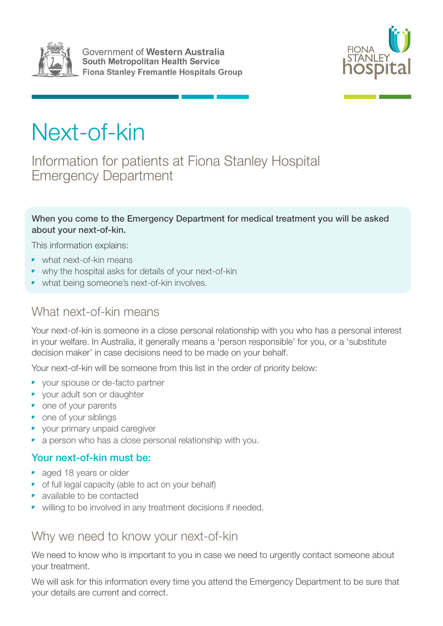



# Next-of-kin

Information for patients at Fiona Stanley Hospital Emergency Department

#### When you come to the Emergency Department for medical treatment you will be asked about your next-of-kin.

This information explains:

- what next-of-kin means
- why the hospital asks for details of your next-of-kin
- what being someone's next-of-kin involves.

#### What next-of-kin means

Your next-of-kin is someone in a close personal relationship with you who has a personal interest in your welfare. In Australia, it generally means a 'person responsible' for you, or a 'substitute decision maker' in case decisions need to be made on your behalf.

Your next-of-kin will be someone from this list in the order of priority below:

- your spouse or de-facto partner
- your adult son or daughter
- one of your parents
- one of your siblings
- your primary unpaid caregiver
- a person who has a close personal relationship with you.

#### Your next-of-kin must be:

- aged 18 years or older
- of full legal capacity (able to act on your behalf)
- available to be contacted
- willing to be involved in any treatment decisions if needed.

#### Why we need to know your next-of-kin

We need to know who is important to you in case we need to urgently contact someone about your treatment.

We will ask for this information every time you attend the Emergency Department to be sure that your details are current and correct.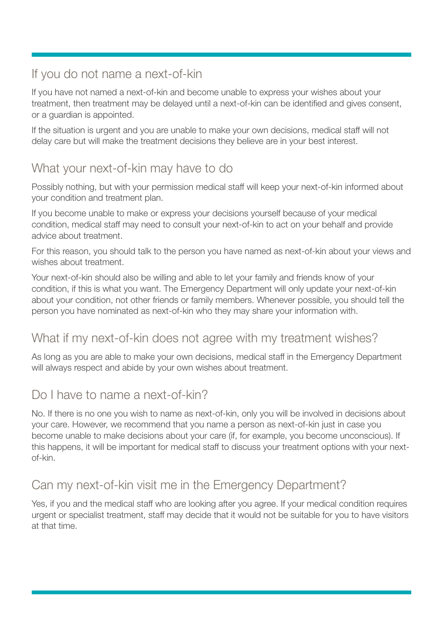## If you do not name a next-of-kin

If you have not named a next-of-kin and become unable to express your wishes about your treatment, then treatment may be delayed until a next-of-kin can be identified and gives consent, or a guardian is appointed.

If the situation is urgent and you are unable to make your own decisions, medical staff will not delay care but will make the treatment decisions they believe are in your best interest.

### What your next-of-kin may have to do

Possibly nothing, but with your permission medical staff will keep your next-of-kin informed about your condition and treatment plan.

If you become unable to make or express your decisions yourself because of your medical condition, medical staff may need to consult your next-of-kin to act on your behalf and provide advice about treatment.

For this reason, you should talk to the person you have named as next-of-kin about your views and wishes about treatment.

Your next-of-kin should also be willing and able to let your family and friends know of your condition, if this is what you want. The Emergency Department will only update your next-of-kin about your condition, not other friends or family members. Whenever possible, you should tell the person you have nominated as next-of-kin who they may share your information with.

### What if my next-of-kin does not agree with my treatment wishes?

As long as you are able to make your own decisions, medical staff in the Emergency Department will always respect and abide by your own wishes about treatment.

## Do I have to name a next-of-kin?

No. If there is no one you wish to name as next-of-kin, only you will be involved in decisions about your care. However, we recommend that you name a person as next-of-kin just in case you become unable to make decisions about your care (if, for example, you become unconscious). If this happens, it will be important for medical staff to discuss your treatment options with your nextof-kin.

# Can my next-of-kin visit me in the Emergency Department?

Yes, if you and the medical staff who are looking after you agree. If your medical condition requires urgent or specialist treatment, staff may decide that it would not be suitable for you to have visitors at that time.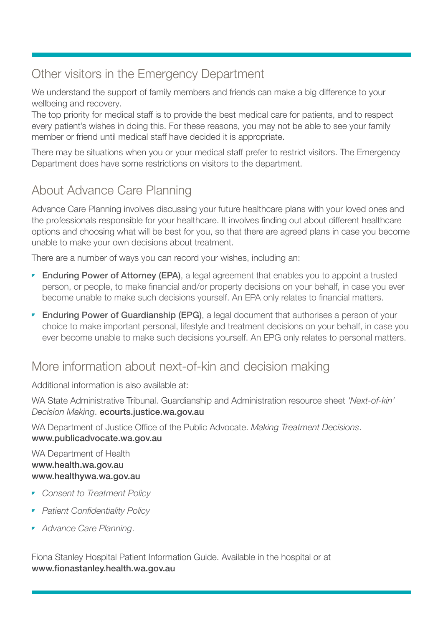## Other visitors in the Emergency Department

We understand the support of family members and friends can make a big difference to your wellbeing and recovery.

The top priority for medical staff is to provide the best medical care for patients, and to respect every patient's wishes in doing this. For these reasons, you may not be able to see your family member or friend until medical staff have decided it is appropriate.

There may be situations when you or your medical staff prefer to restrict visitors. The Emergency Department does have some restrictions on visitors to the department.

## About Advance Care Planning

Advance Care Planning involves discussing your future healthcare plans with your loved ones and the professionals responsible for your healthcare. It involves finding out about different healthcare options and choosing what will be best for you, so that there are agreed plans in case you become unable to make your own decisions about treatment.

There are a number of ways you can record your wishes, including an:

- Enduring Power of Attorney (EPA), a legal agreement that enables you to appoint a trusted person, or people, to make financial and/or property decisions on your behalf, in case you ever become unable to make such decisions yourself. An EPA only relates to financial matters.
- Enduring Power of Guardianship (EPG), a legal document that authorises a person of your choice to make important personal, lifestyle and treatment decisions on your behalf, in case you ever become unable to make such decisions yourself. An EPG only relates to personal matters.

### More information about next-of-kin and decision making

Additional information is also available at:

WA State Administrative Tribunal. Guardianship and Administration resource sheet *'Next-of-kin' Decision Making*. ecourts.justice.wa.gov.au

WA Department of Justice Office of the Public Advocate. *Making Treatment Decisions*. www.publicadvocate.wa.gov.au

WA Department of Health www.health.wa.gov.au www.healthywa.wa.gov.au

- *Consent to Treatment Policy*
- *Patient Confidentiality Policy*
- *Advance Care Planning*.

Fiona Stanley Hospital Patient Information Guide. Available in the hospital or at www.fionastanley.health.wa.gov.au